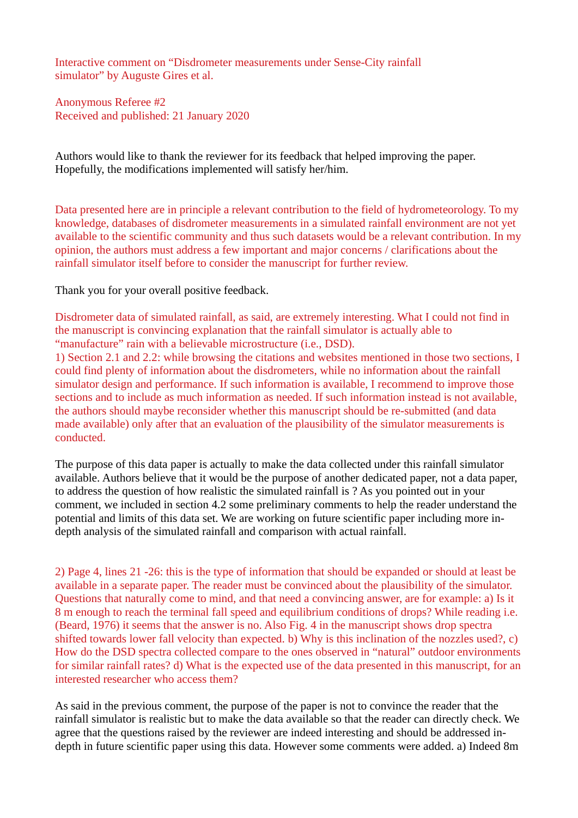Interactive comment on "Disdrometer measurements under Sense-City rainfall simulator" by Auguste Gires et al.

Anonymous Referee #2 Received and published: 21 January 2020

Authors would like to thank the reviewer for its feedback that helped improving the paper. Hopefully, the modifications implemented will satisfy her/him.

Data presented here are in principle a relevant contribution to the field of hydrometeorology. To my knowledge, databases of disdrometer measurements in a simulated rainfall environment are not yet available to the scientific community and thus such datasets would be a relevant contribution. In my opinion, the authors must address a few important and major concerns / clarifications about the rainfall simulator itself before to consider the manuscript for further review.

Thank you for your overall positive feedback.

Disdrometer data of simulated rainfall, as said, are extremely interesting. What I could not find in the manuscript is convincing explanation that the rainfall simulator is actually able to "manufacture" rain with a believable microstructure (i.e., DSD).

1) Section 2.1 and 2.2: while browsing the citations and websites mentioned in those two sections, I could find plenty of information about the disdrometers, while no information about the rainfall simulator design and performance. If such information is available, I recommend to improve those sections and to include as much information as needed. If such information instead is not available, the authors should maybe reconsider whether this manuscript should be re-submitted (and data made available) only after that an evaluation of the plausibility of the simulator measurements is conducted.

The purpose of this data paper is actually to make the data collected under this rainfall simulator available. Authors believe that it would be the purpose of another dedicated paper, not a data paper, to address the question of how realistic the simulated rainfall is ? As you pointed out in your comment, we included in section 4.2 some preliminary comments to help the reader understand the potential and limits of this data set. We are working on future scientific paper including more indepth analysis of the simulated rainfall and comparison with actual rainfall.

2) Page 4, lines 21 -26: this is the type of information that should be expanded or should at least be available in a separate paper. The reader must be convinced about the plausibility of the simulator. Questions that naturally come to mind, and that need a convincing answer, are for example: a) Is it 8 m enough to reach the terminal fall speed and equilibrium conditions of drops? While reading i.e. (Beard, 1976) it seems that the answer is no. Also Fig. 4 in the manuscript shows drop spectra shifted towards lower fall velocity than expected. b) Why is this inclination of the nozzles used?, c) How do the DSD spectra collected compare to the ones observed in "natural" outdoor environments for similar rainfall rates? d) What is the expected use of the data presented in this manuscript, for an interested researcher who access them?

As said in the previous comment, the purpose of the paper is not to convince the reader that the rainfall simulator is realistic but to make the data available so that the reader can directly check. We agree that the questions raised by the reviewer are indeed interesting and should be addressed indepth in future scientific paper using this data. However some comments were added. a) Indeed 8m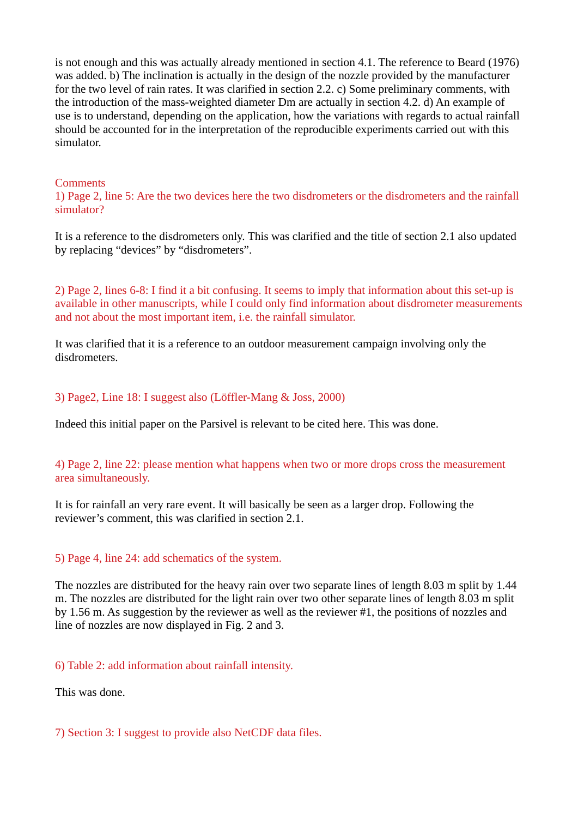is not enough and this was actually already mentioned in section 4.1. The reference to Beard (1976) was added. b) The inclination is actually in the design of the nozzle provided by the manufacturer for the two level of rain rates. It was clarified in section 2.2. c) Some preliminary comments, with the introduction of the mass-weighted diameter Dm are actually in section 4.2. d) An example of use is to understand, depending on the application, how the variations with regards to actual rainfall should be accounted for in the interpretation of the reproducible experiments carried out with this simulator.

## **Comments**

1) Page 2, line 5: Are the two devices here the two disdrometers or the disdrometers and the rainfall simulator?

It is a reference to the disdrometers only. This was clarified and the title of section 2.1 also updated by replacing "devices" by "disdrometers".

2) Page 2, lines 6-8: I find it a bit confusing. It seems to imply that information about this set-up is available in other manuscripts, while I could only find information about disdrometer measurements and not about the most important item, i.e. the rainfall simulator.

It was clarified that it is a reference to an outdoor measurement campaign involving only the disdrometers.

## 3) Page2, Line 18: I suggest also (Löffler-Mang & Joss, 2000)

Indeed this initial paper on the Parsivel is relevant to be cited here. This was done.

# 4) Page 2, line 22: please mention what happens when two or more drops cross the measurement area simultaneously.

It is for rainfall an very rare event. It will basically be seen as a larger drop. Following the reviewer's comment, this was clarified in section 2.1.

#### 5) Page 4, line 24: add schematics of the system.

The nozzles are distributed for the heavy rain over two separate lines of length 8.03 m split by 1.44 m. The nozzles are distributed for the light rain over two other separate lines of length 8.03 m split by 1.56 m. As suggestion by the reviewer as well as the reviewer #1, the positions of nozzles and line of nozzles are now displayed in Fig. 2 and 3.

#### 6) Table 2: add information about rainfall intensity.

This was done.

## 7) Section 3: I suggest to provide also NetCDF data files.